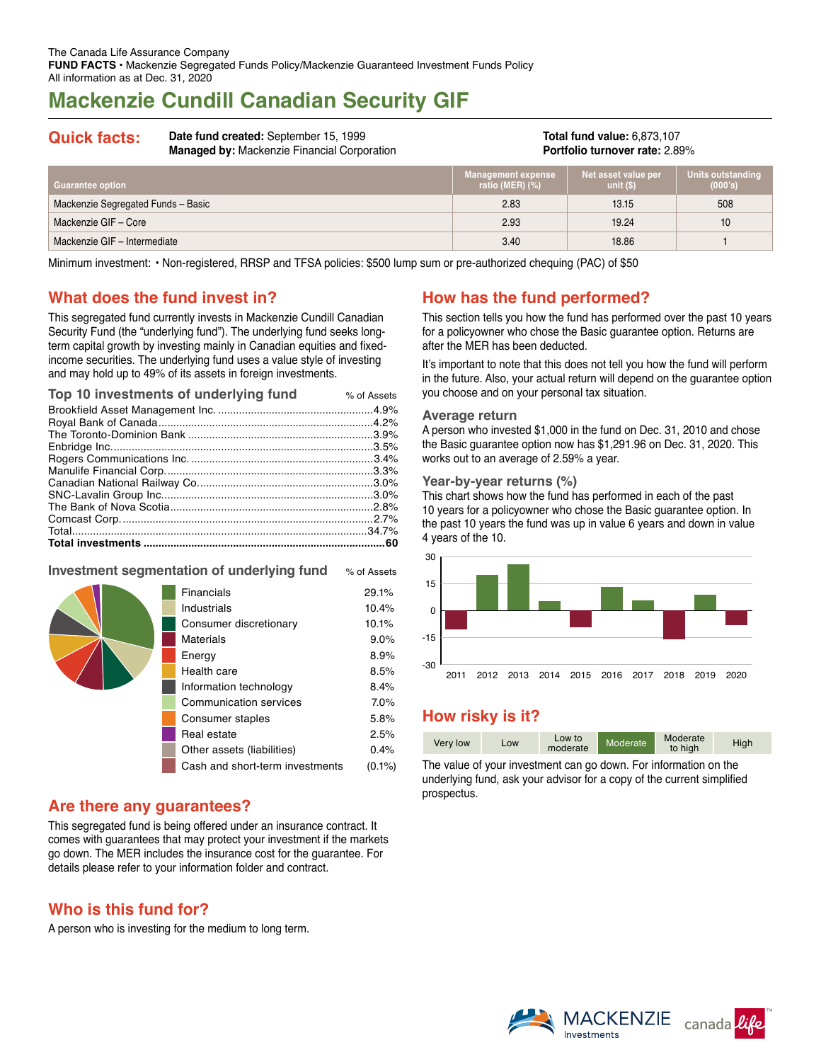# **Mackenzie Cundill Canadian Security GIF**

#### **Quick facts: Date fund created:** September 15, 1999 **Managed by:** Mackenzie Financial Corporation **Total fund value:** 6,873,107 **Portfolio turnover rate:** 2.89%

| <b>Guarantee option</b>            | <b>Management expense</b><br>ratio (MER) (%) | Net asset value per<br>unit $(S)$ | Units outstanding<br>(000's) |
|------------------------------------|----------------------------------------------|-----------------------------------|------------------------------|
| Mackenzie Segregated Funds - Basic | 2.83                                         | 13.15                             | 508                          |
| Mackenzie GIF - Core               | 2.93                                         | 19.24                             | 10                           |
| Mackenzie GIF - Intermediate       | 3.40                                         | 18.86                             |                              |

Minimum investment: • Non-registered, RRSP and TFSA policies: \$500 lump sum or pre-authorized chequing (PAC) of \$50

# **What does the fund invest in?**

This segregated fund currently invests in Mackenzie Cundill Canadian Security Fund (the "underlying fund"). The underlying fund seeks longterm capital growth by investing mainly in Canadian equities and fixedincome securities. The underlying fund uses a value style of investing and may hold up to 49% of its assets in foreign investments.

| Top 10 investments of underlying fund | % of Assets |
|---------------------------------------|-------------|
|                                       |             |
|                                       |             |
|                                       |             |
|                                       |             |
|                                       |             |
|                                       |             |
|                                       |             |
|                                       |             |
|                                       |             |
|                                       |             |
|                                       | .34.7%      |
|                                       |             |

#### **Investment segmentation of underlying fund** % of Assets

| Financials                      | 29.1%     |
|---------------------------------|-----------|
| Industrials                     | 10.4%     |
| Consumer discretionary          | 10.1%     |
| Materials                       | 9.0%      |
| Energy                          | 8.9%      |
| Health care                     | 8.5%      |
| Information technology          | 8.4%      |
| Communication services          | 7.0%      |
| Consumer staples                | 5.8%      |
| Real estate                     | 2.5%      |
| Other assets (liabilities)      | 0.4%      |
| Cash and short-term investments | $(0.1\%)$ |
|                                 |           |

# **Are there any guarantees?**

This segregated fund is being offered under an insurance contract. It comes with guarantees that may protect your investment if the markets go down. The MER includes the insurance cost for the guarantee. For details please refer to your information folder and contract.

# **Who is this fund for?**

A person who is investing for the medium to long term.

# **How has the fund performed?**

This section tells you how the fund has performed over the past 10 years for a policyowner who chose the Basic guarantee option. Returns are after the MER has been deducted.

It's important to note that this does not tell you how the fund will perform in the future. Also, your actual return will depend on the guarantee option you choose and on your personal tax situation.

#### **Average return**

A person who invested \$1,000 in the fund on Dec. 31, 2010 and chose the Basic guarantee option now has \$1,291.96 on Dec. 31, 2020. This works out to an average of 2.59% a year.

#### **Year-by-year returns (%)**

This chart shows how the fund has performed in each of the past 10 years for a policyowner who chose the Basic guarantee option. In the past 10 years the fund was up in value 6 years and down in value 4 years of the 10.



# **How risky is it?**

| Very low | Low | Low to<br>moderate | Moderate <sup>1</sup> | Moderate<br>to high | High |
|----------|-----|--------------------|-----------------------|---------------------|------|
|----------|-----|--------------------|-----------------------|---------------------|------|

The value of your investment can go down. For information on the underlying fund, ask your advisor for a copy of the current simplified prospectus.